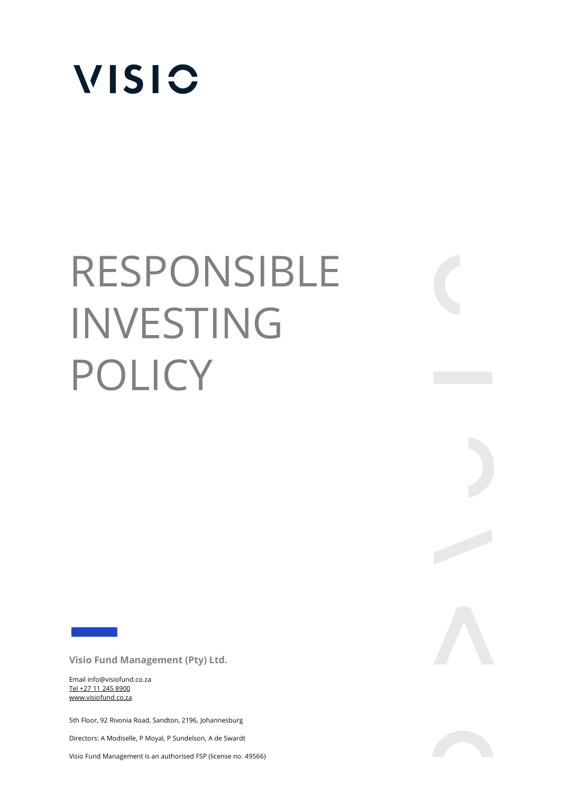

# RESPONSIBLE INVESTING POLICY

**Visio Fund Management (Pty) Ltd.** 

Email info@visiofund.co.za Tel +27 11 245 8900 www.visiofund.co.za

5th Floor, 92 Rivonia Road, Sandton, 2196, Johannesburg

Directors: A Modiselle, P Moyal, P Sundelson, A de Swardt

Visio Fund Management is an authorised FSP (license no. 49566)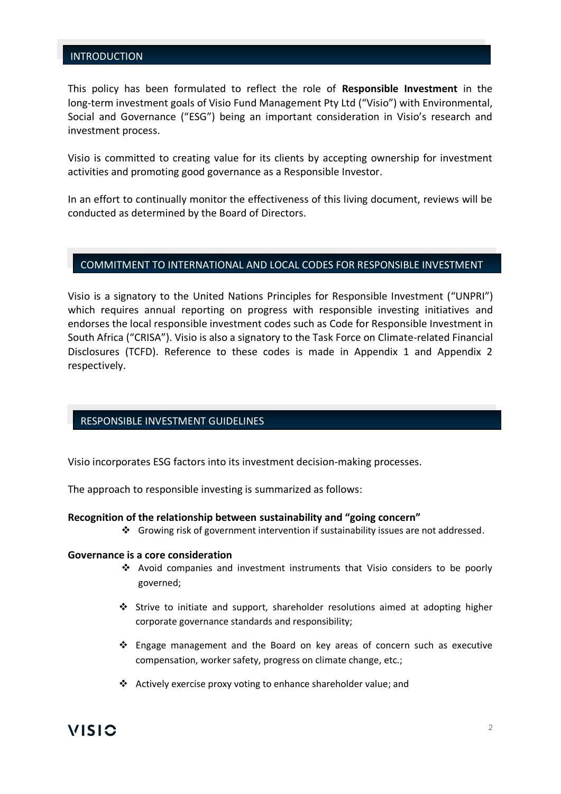#### INTRODUCTION

This policy has been formulated to reflect the role of **Responsible Investment** in the long-term investment goals of Visio Fund Management Pty Ltd ("Visio") with Environmental, Social and Governance ("ESG") being an important consideration in Visio's research and investment process.

Visio is committed to creating value for its clients by accepting ownership for investment activities and promoting good governance as a Responsible Investor.

In an effort to continually monitor the effectiveness of this living document, reviews will be conducted as determined by the Board of Directors.

## COMMITMENT TO INTERNATIONAL AND LOCAL CODES FOR RESPONSIBLE INVESTMENT

Visio is a signatory to the United Nations Principles for Responsible Investment ("UNPRI") which requires annual reporting on progress with responsible investing initiatives and endorses the local responsible investment codes such as Code for Responsible Investment in South Africa ("CRISA"). Visio is also a signatory to the Task Force on Climate-related Financial Disclosures (TCFD). Reference to these codes is made in Appendix 1 and Appendix 2 respectively.

## RESPONSIBLE INVESTMENT GUIDELINES

Visio incorporates ESG factors into its investment decision-making processes.

The approach to responsible investing is summarized as follows:

#### **Recognition of the relationship between sustainability and "going concern"**

❖ Growing risk of government intervention if sustainability issues are not addressed.

#### **Governance is a core consideration**

- ❖ Avoid companies and investment instruments that Visio considers to be poorly governed;
- ❖ Strive to initiate and support, shareholder resolutions aimed at adopting higher corporate governance standards and responsibility;
- ❖ Engage management and the Board on key areas of concern such as executive compensation, worker safety, progress on climate change, etc.;
- ❖ Actively exercise proxy voting to enhance shareholder value; and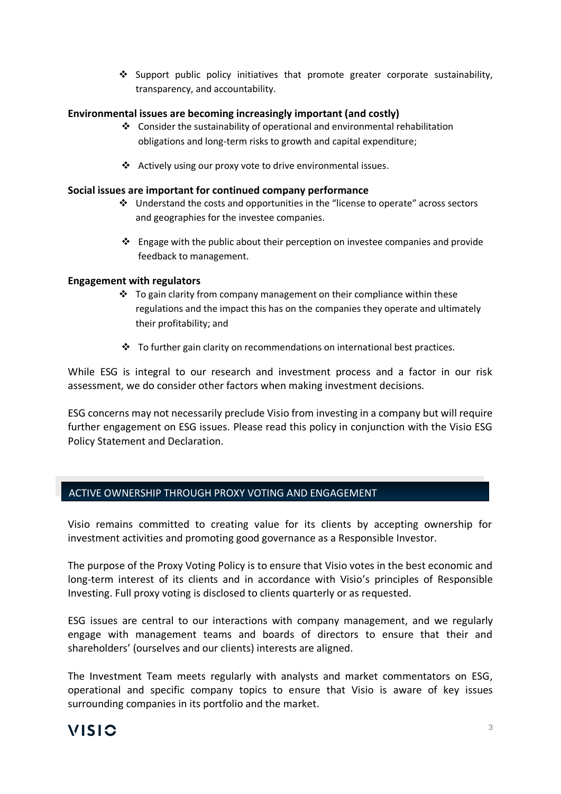❖ Support public policy initiatives that promote greater corporate sustainability, transparency, and accountability.

## **Environmental issues are becoming increasingly important (and costly)**

- ❖ Consider the sustainability of operational and environmental rehabilitation obligations and long-term risks to growth and capital expenditure;
- ❖ Actively using our proxy vote to drive environmental issues.

#### **Social issues are important for continued company performance**

- ❖ Understand the costs and opportunities in the "license to operate" across sectors and geographies for the investee companies.
- ❖ Engage with the public about their perception on investee companies and provide feedback to management.

#### **Engagement with regulators**

- $\cdot \cdot$  To gain clarity from company management on their compliance within these regulations and the impact this has on the companies they operate and ultimately their profitability; and
- $\cdot \cdot$  To further gain clarity on recommendations on international best practices.

While ESG is integral to our research and investment process and a factor in our risk assessment, we do consider other factors when making investment decisions.

ESG concerns may not necessarily preclude Visio from investing in a company but will require further engagement on ESG issues. Please read this policy in conjunction with the Visio ESG Policy Statement and Declaration.

## ACTIVE OWNERSHIP THROUGH PROXY VOTING AND ENGAGEMENT

Visio remains committed to creating value for its clients by accepting ownership for investment activities and promoting good governance as a Responsible Investor.

The purpose of the Proxy Voting Policy is to ensure that Visio votes in the best economic and long-term interest of its clients and in accordance with Visio's principles of Responsible Investing. Full proxy voting is disclosed to clients quarterly or as requested.

ESG issues are central to our interactions with company management, and we regularly engage with management teams and boards of directors to ensure that their and shareholders' (ourselves and our clients) interests are aligned.

The Investment Team meets regularly with analysts and market commentators on ESG, operational and specific company topics to ensure that Visio is aware of key issues surrounding companies in its portfolio and the market.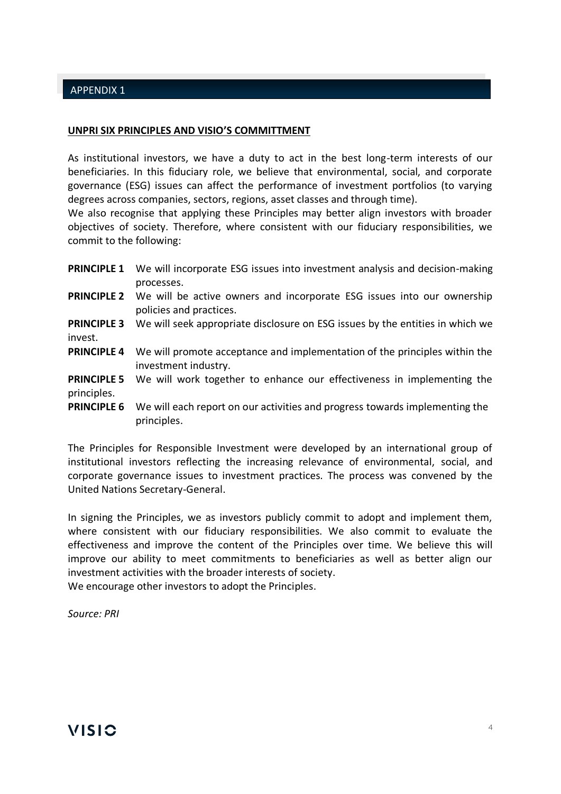## APPENDIX 1

## **UNPRI SIX PRINCIPLES AND VISIO'S COMMITTMENT**

As institutional investors, we have a duty to act in the best long-term interests of our beneficiaries. In this fiduciary role, we believe that environmental, social, and corporate governance (ESG) issues can affect the performance of investment portfolios (to varying degrees across companies, sectors, regions, asset classes and through time).

We also recognise that applying these Principles may better align investors with broader objectives of society. Therefore, where consistent with our fiduciary responsibilities, we commit to the following:

|                                   | <b>PRINCIPLE 1</b> We will incorporate ESG issues into investment analysis and decision-making                       |
|-----------------------------------|----------------------------------------------------------------------------------------------------------------------|
|                                   | processes.                                                                                                           |
|                                   | <b>PRINCIPLE 2</b> We will be active owners and incorporate ESG issues into our ownership<br>policies and practices. |
| <b>PRINCIPLE 3</b><br>invest.     | We will seek appropriate disclosure on ESG issues by the entities in which we                                        |
| <b>PRINCIPLE 4</b>                | We will promote acceptance and implementation of the principles within the<br>investment industry.                   |
| <b>PRINCIPLE 5</b><br>principles. | We will work together to enhance our effectiveness in implementing the                                               |
| <b>PRINCIPLE 6</b>                | We will each report on our activities and progress towards implementing the<br>principles.                           |

The Principles for Responsible Investment were developed by an international group of institutional investors reflecting the increasing relevance of environmental, social, and corporate governance issues to investment practices. The process was convened by the United Nations Secretary-General.

In signing the Principles, we as investors publicly commit to adopt and implement them, where consistent with our fiduciary responsibilities. We also commit to evaluate the effectiveness and improve the content of the Principles over time. We believe this will improve our ability to meet commitments to beneficiaries as well as better align our investment activities with the broader interests of society. We encourage other investors to adopt the Principles.

*Source: PRI*